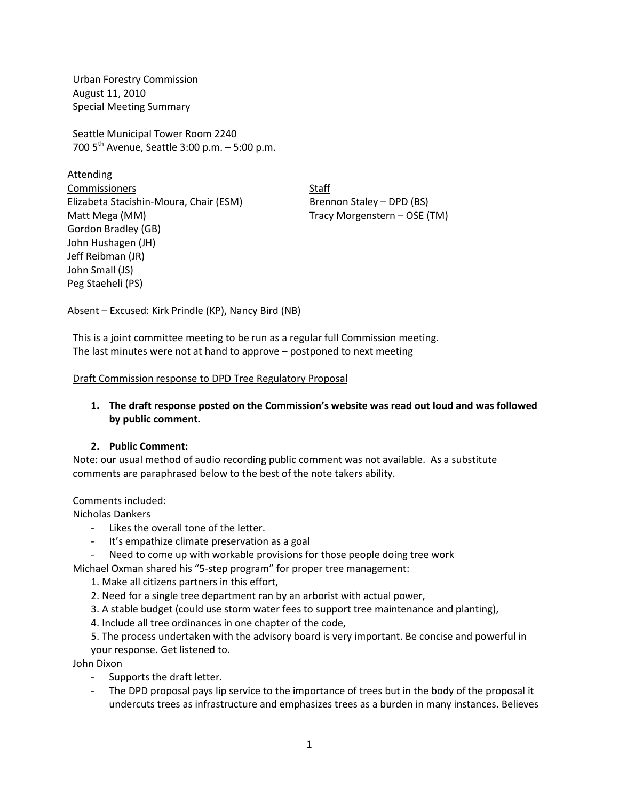Urban Forestry Commission August 11, 2010 Special Meeting Summary

Seattle Municipal Tower Room 2240 700  $5^{th}$  Avenue, Seattle 3:00 p.m. – 5:00 p.m.

Attending **Commissioners** Staff Elizabeta Stacishin-Moura, Chair (ESM) Brennon Staley – DPD (BS) Matt Mega (MM) Tracy Morgenstern – OSE (TM) Gordon Bradley (GB) John Hushagen (JH) Jeff Reibman (JR) John Small (JS) Peg Staeheli (PS)

Absent – Excused: Kirk Prindle (KP), Nancy Bird (NB)

This is a joint committee meeting to be run as a regular full Commission meeting. The last minutes were not at hand to approve – postponed to next meeting

Draft Commission response to DPD Tree Regulatory Proposal

# **1. The draft response posted on the Commission's website was read out loud and was followed by public comment.**

## **2. Public Comment:**

Note: our usual method of audio recording public comment was not available. As a substitute comments are paraphrased below to the best of the note takers ability.

## Comments included:

Nicholas Dankers

- Likes the overall tone of the letter.
- It's empathize climate preservation as a goal
- Need to come up with workable provisions for those people doing tree work

Michael Oxman shared his "5-step program" for proper tree management:

- 1. Make all citizens partners in this effort,
- 2. Need for a single tree department ran by an arborist with actual power,
- 3. A stable budget (could use storm water fees to support tree maintenance and planting),
- 4. Include all tree ordinances in one chapter of the code,

5. The process undertaken with the advisory board is very important. Be concise and powerful in your response. Get listened to.

John Dixon

- Supports the draft letter.
- The DPD proposal pays lip service to the importance of trees but in the body of the proposal it undercuts trees as infrastructure and emphasizes trees as a burden in many instances. Believes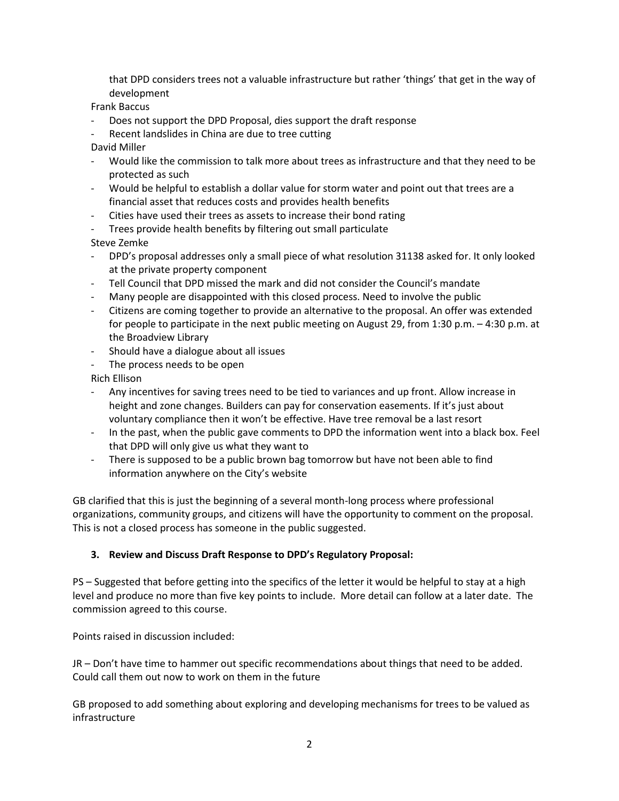that DPD considers trees not a valuable infrastructure but rather 'things' that get in the way of development

Frank Baccus

- Does not support the DPD Proposal, dies support the draft response
- Recent landslides in China are due to tree cutting
- David Miller
- Would like the commission to talk more about trees as infrastructure and that they need to be protected as such
- Would be helpful to establish a dollar value for storm water and point out that trees are a financial asset that reduces costs and provides health benefits
- Cities have used their trees as assets to increase their bond rating
- Trees provide health benefits by filtering out small particulate

Steve Zemke

- DPD's proposal addresses only a small piece of what resolution 31138 asked for. It only looked at the private property component
- Tell Council that DPD missed the mark and did not consider the Council's mandate
- Many people are disappointed with this closed process. Need to involve the public
- Citizens are coming together to provide an alternative to the proposal. An offer was extended for people to participate in the next public meeting on August 29, from 1:30 p.m. – 4:30 p.m. at the Broadview Library
- Should have a dialogue about all issues
- The process needs to be open

Rich Ellison

- Any incentives for saving trees need to be tied to variances and up front. Allow increase in height and zone changes. Builders can pay for conservation easements. If it's just about voluntary compliance then it won't be effective. Have tree removal be a last resort
- In the past, when the public gave comments to DPD the information went into a black box. Feel that DPD will only give us what they want to
- There is supposed to be a public brown bag tomorrow but have not been able to find information anywhere on the City's website

GB clarified that this is just the beginning of a several month-long process where professional organizations, community groups, and citizens will have the opportunity to comment on the proposal. This is not a closed process has someone in the public suggested.

## **3. Review and Discuss Draft Response to DPD's Regulatory Proposal:**

PS – Suggested that before getting into the specifics of the letter it would be helpful to stay at a high level and produce no more than five key points to include. More detail can follow at a later date. The commission agreed to this course.

Points raised in discussion included:

JR – Don't have time to hammer out specific recommendations about things that need to be added. Could call them out now to work on them in the future

GB proposed to add something about exploring and developing mechanisms for trees to be valued as infrastructure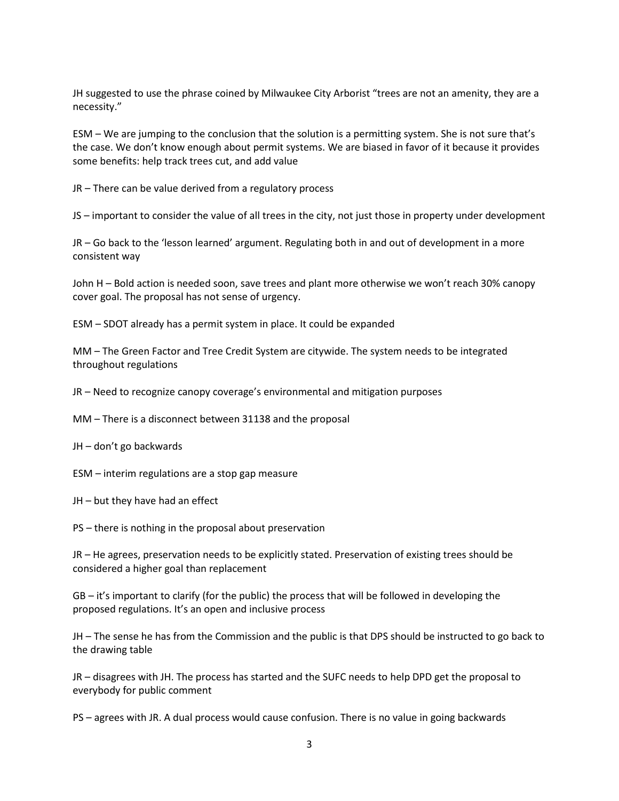JH suggested to use the phrase coined by Milwaukee City Arborist "trees are not an amenity, they are a necessity."

ESM – We are jumping to the conclusion that the solution is a permitting system. She is not sure that's the case. We don't know enough about permit systems. We are biased in favor of it because it provides some benefits: help track trees cut, and add value

JR – There can be value derived from a regulatory process

JS – important to consider the value of all trees in the city, not just those in property under development

JR – Go back to the 'lesson learned' argument. Regulating both in and out of development in a more consistent way

John H – Bold action is needed soon, save trees and plant more otherwise we won't reach 30% canopy cover goal. The proposal has not sense of urgency.

ESM – SDOT already has a permit system in place. It could be expanded

MM – The Green Factor and Tree Credit System are citywide. The system needs to be integrated throughout regulations

JR – Need to recognize canopy coverage's environmental and mitigation purposes

MM – There is a disconnect between 31138 and the proposal

JH – don't go backwards

ESM – interim regulations are a stop gap measure

JH – but they have had an effect

PS – there is nothing in the proposal about preservation

JR – He agrees, preservation needs to be explicitly stated. Preservation of existing trees should be considered a higher goal than replacement

GB – it's important to clarify (for the public) the process that will be followed in developing the proposed regulations. It's an open and inclusive process

JH – The sense he has from the Commission and the public is that DPS should be instructed to go back to the drawing table

JR – disagrees with JH. The process has started and the SUFC needs to help DPD get the proposal to everybody for public comment

PS – agrees with JR. A dual process would cause confusion. There is no value in going backwards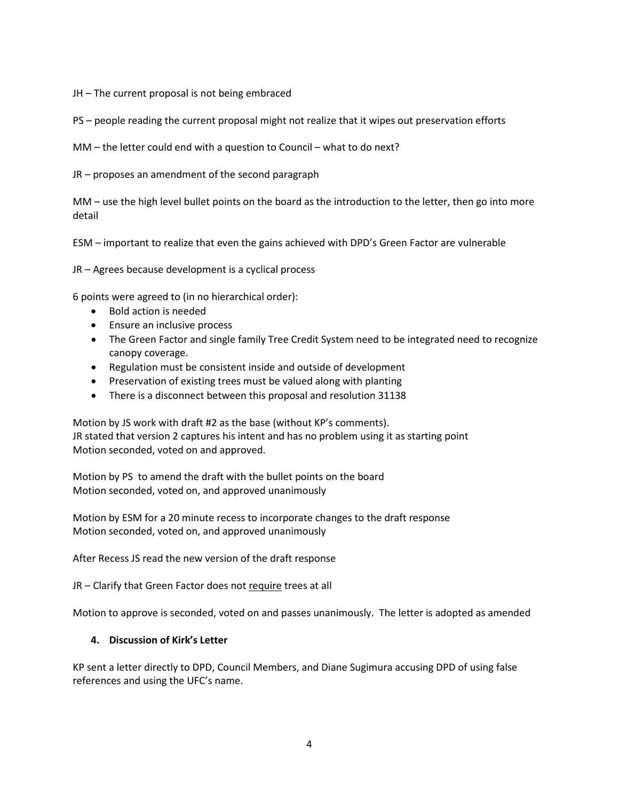JH – The current proposal is not being embraced

PS – people reading the current proposal might not realize that it wipes out preservation efforts

MM – the letter could end with a question to Council – what to do next?

JR – proposes an amendment of the second paragraph

MM – use the high level bullet points on the board as the introduction to the letter, then go into more detail

ESM – important to realize that even the gains achieved with DPD's Green Factor are vulnerable

JR – Agrees because development is a cyclical process

6 points were agreed to (in no hierarchical order):

- Bold action is needed
- Ensure an inclusive process
- The Green Factor and single family Tree Credit System need to be integrated need to recognize canopy coverage.
- Regulation must be consistent inside and outside of development
- Preservation of existing trees must be valued along with planting
- There is a disconnect between this proposal and resolution 31138

Motion by JS work with draft #2 as the base (without KP's comments). JR stated that version 2 captures his intent and has no problem using it as starting point Motion seconded, voted on and approved.

Motion by PS to amend the draft with the bullet points on the board Motion seconded, voted on, and approved unanimously

Motion by ESM for a 20 minute recess to incorporate changes to the draft response Motion seconded, voted on, and approved unanimously

After Recess JS read the new version of the draft response

JR - Clarify that Green Factor does not require trees at all

Motion to approve is seconded, voted on and passes unanimously. The letter is adopted as amended

### **4. Discussion of Kirk's Letter**

KP sent a letter directly to DPD, Council Members, and Diane Sugimura accusing DPD of using false references and using the UFC's name.